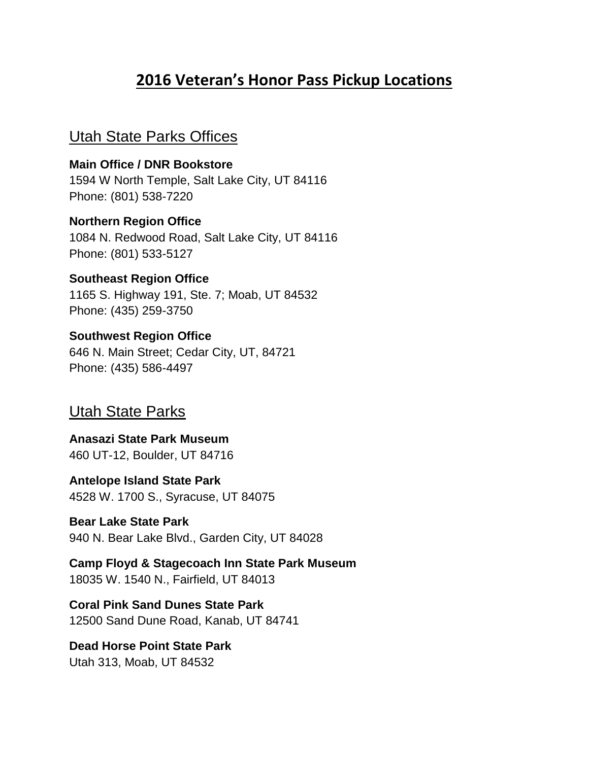## **2016 Veteran's Honor Pass Pickup Locations**

## Utah State Parks Offices

**Main Office / DNR Bookstore** 1594 W North Temple, Salt Lake City, UT 84116 Phone: (801) 538-7220

**Northern Region Office** 1084 N. Redwood Road, Salt Lake City, UT 84116 Phone: (801) 533-5127

**Southeast Region Office** 1165 S. Highway 191, Ste. 7; Moab, UT 84532 Phone: (435) 259-3750

**Southwest Region Office** 646 N. Main Street; Cedar City, UT, 84721 Phone: (435) 586-4497

## Utah State Parks

**Anasazi State Park Museum** 460 UT-12, Boulder, UT 84716

**Antelope Island State Park** 4528 W. 1700 S., Syracuse, UT 84075

**Bear Lake State Park** 940 N. Bear Lake Blvd., Garden City, UT 84028

**Camp Floyd & Stagecoach Inn State Park Museum** 18035 W. 1540 N., Fairfield, UT 84013

**Coral Pink Sand Dunes State Park** 12500 Sand Dune Road, Kanab, UT 84741

**Dead Horse Point State Park** Utah 313, Moab, UT 84532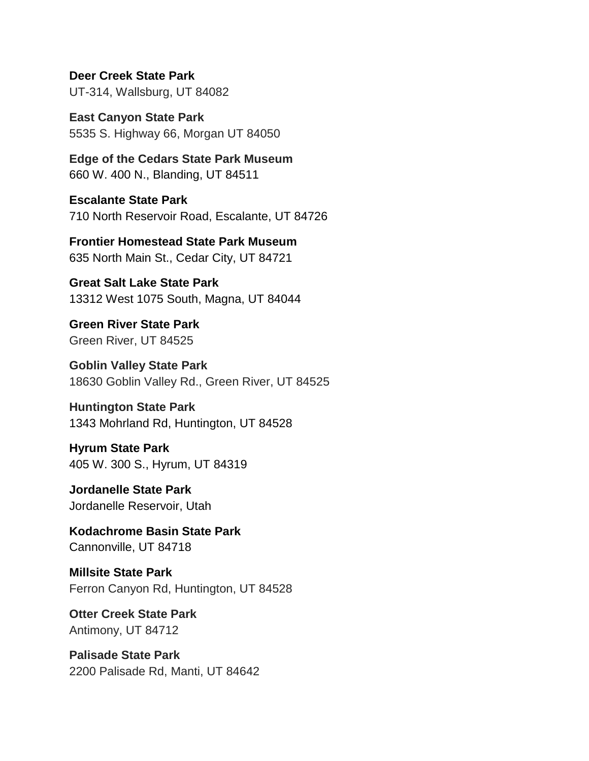**Deer Creek State Park** UT-314, Wallsburg, UT 84082

**East Canyon State Park** 5535 S. Highway 66, Morgan UT 84050

**Edge of the Cedars State Park Museum** 660 W. 400 N., Blanding, UT 84511

**Escalante State Park** 710 North Reservoir Road, Escalante, UT 84726

**Frontier Homestead State Park Museum** 635 North Main St., Cedar City, UT 84721

**Great Salt Lake State Park** 13312 West 1075 South, Magna, UT 84044

**Green River State Park** Green River, UT 84525

**Goblin Valley State Park** 18630 Goblin Valley Rd., Green River, UT 84525

## **Huntington State Park**

1343 Mohrland Rd, Huntington, UT 84528

**Hyrum State Park** 405 W. 300 S., Hyrum, UT 84319

**Jordanelle State Park** Jordanelle Reservoir, Utah

**Kodachrome Basin State Park** Cannonville, UT 84718

**Millsite State Park** Ferron Canyon Rd, Huntington, UT 84528

**Otter Creek State Park** Antimony, UT 84712

**Palisade State Park** 2200 Palisade Rd, Manti, UT 84642